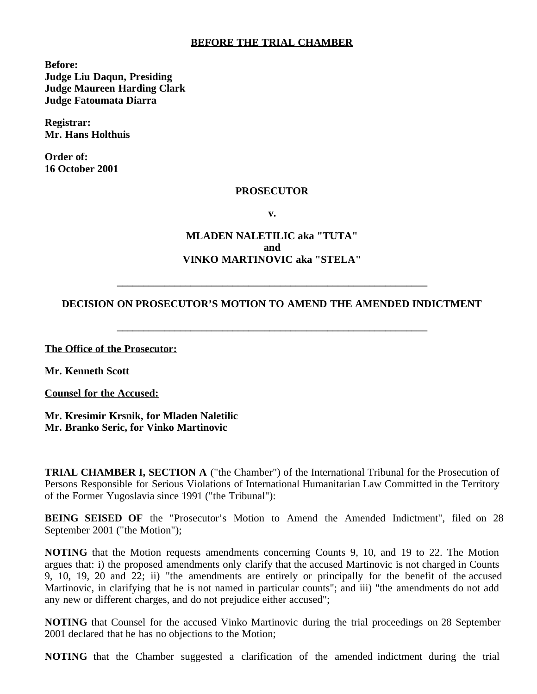## **BEFORE THE TRIAL CHAMBER**

**Before: Judge Liu Daqun, Presiding Judge Maureen Harding Clark Judge Fatoumata Diarra**

**Registrar: Mr. Hans Holthuis**

**Order of: 16 October 2001**

#### **PROSECUTOR**

**v.**

## **MLADEN NALETILIC aka "TUTA" and VINKO MARTINOVIC aka "STELA"**

### **DECISION ON PROSECUTOR'S MOTION TO AMEND THE AMENDED INDICTMENT**

**\_\_\_\_\_\_\_\_\_\_\_\_\_\_\_\_\_\_\_\_\_\_\_\_\_\_\_\_\_\_\_\_\_\_\_\_\_\_\_\_\_\_\_\_\_\_\_\_\_\_\_\_\_\_\_\_\_\_\_**

**\_\_\_\_\_\_\_\_\_\_\_\_\_\_\_\_\_\_\_\_\_\_\_\_\_\_\_\_\_\_\_\_\_\_\_\_\_\_\_\_\_\_\_\_\_\_\_\_\_\_\_\_\_\_\_\_\_\_\_**

**The Office of the Prosecutor:**

**Mr. Kenneth Scott**

**Counsel for the Accused:**

**Mr. Kresimir Krsnik, for Mladen Naletilic Mr. Branko Seric, for Vinko Martinovic**

**TRIAL CHAMBER I, SECTION A** ("the Chamber") of the International Tribunal for the Prosecution of Persons Responsible for Serious Violations of International Humanitarian Law Committed in the Territory of the Former Yugoslavia since 1991 ("the Tribunal"):

**BEING SEISED OF** the "Prosecutor's Motion to Amend the Amended Indictment", filed on 28 September 2001 ("the Motion");

**NOTING** that the Motion requests amendments concerning Counts 9, 10, and 19 to 22. The Motion argues that: i) the proposed amendments only clarify that the accused Martinovic is not charged in Counts 9, 10, 19, 20 and 22; ii) "the amendments are entirely or principally for the benefit of the accused Martinovic, in clarifying that he is not named in particular counts"; and iii) "the amendments do not add any new or different charges, and do not prejudice either accused";

**NOTING** that Counsel for the accused Vinko Martinovic during the trial proceedings on 28 September 2001 declared that he has no objections to the Motion;

**NOTING** that the Chamber suggested a clarification of the amended indictment during the trial